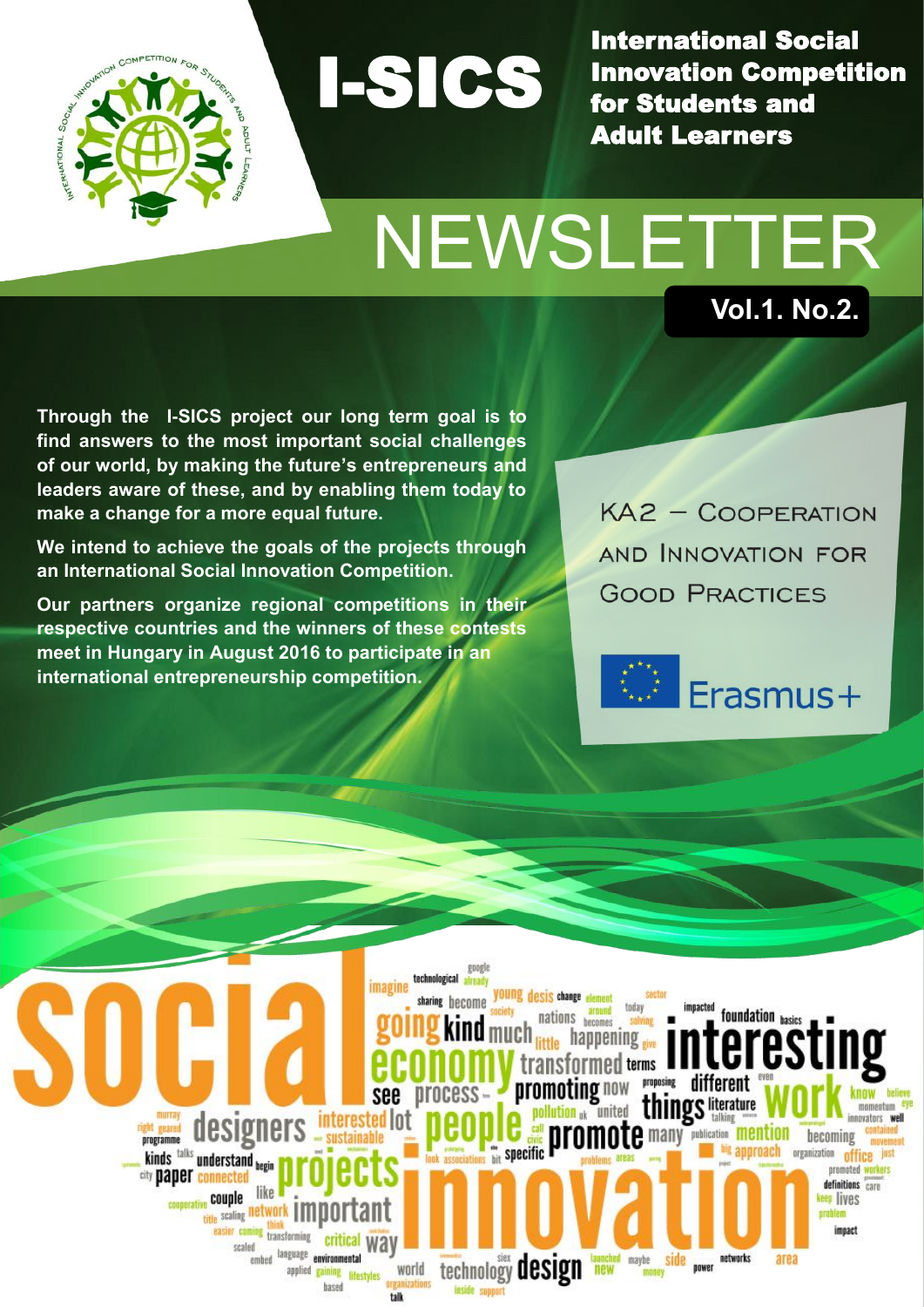

International Social Innovation Competition for Students and Adult Learners

# NEWSLETTER **Vol.1. No.2.**

I-SICS

**Through the I-SICS project our long term goal is to find answers to the most important social challenges of our world, by making the future's entrepreneurs and leaders aware of these, and by enabling them today to make a change for a more equal future.**

**We intend to achieve the goals of the projects through an International Social Innovation Competition.** 

**Our partners organize regional competitions in their respective countries and the winners of these contests meet in Hungary in August 2016 to participate in an international entrepreneurship competition.**

KA2 - COOPERATION AND INNOVATION FOR **GOOD PRACTICES** 



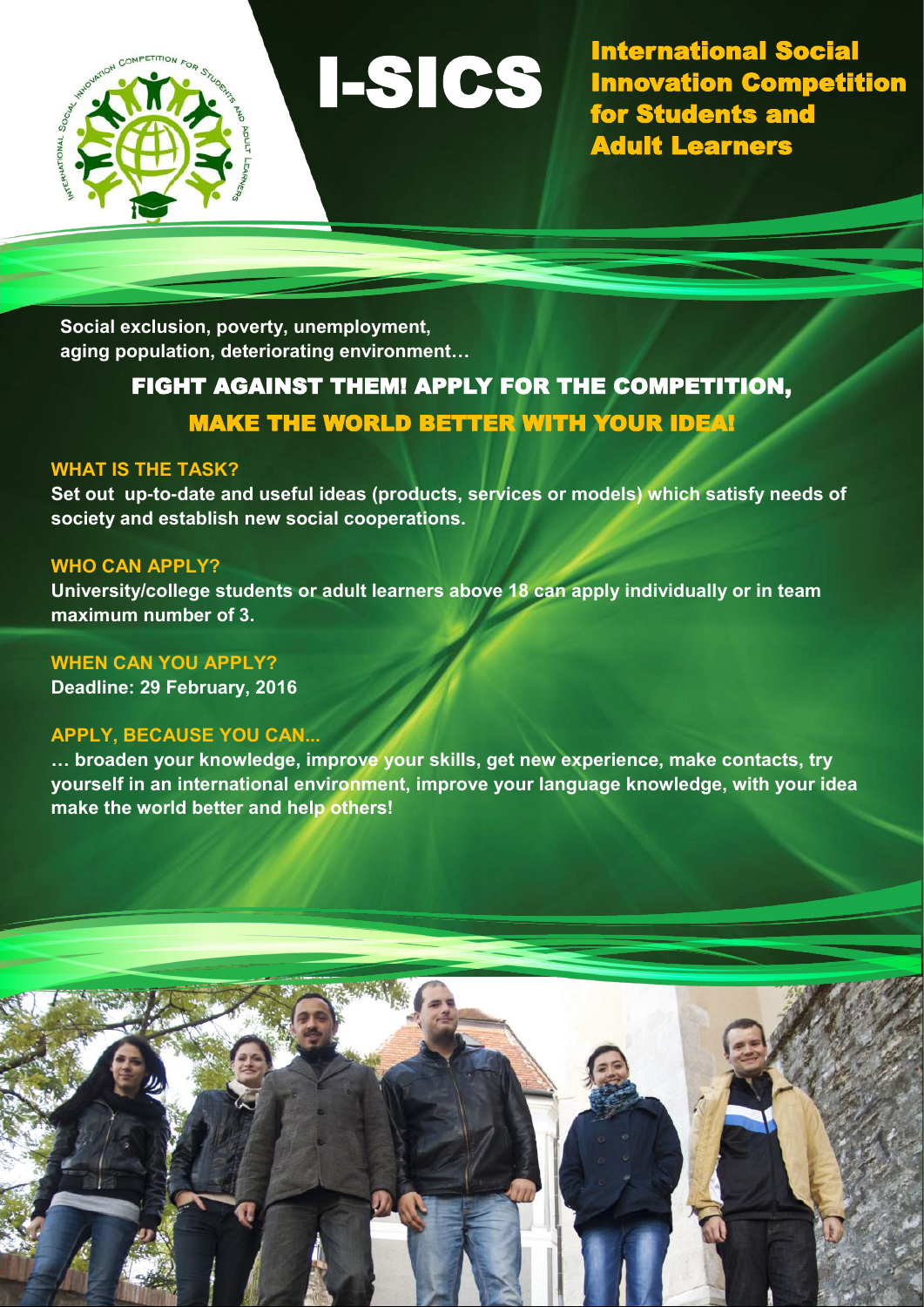

International Social Innovation Competition for Students and Adult Learners

**Social exclusion, poverty, unemployment, aging population, deteriorating environment…** 

### FIGHT AGAINST THEM! APPLY FOR THE COMPETITION, MAKE THE WORLD BETTER WITH YOUR IDEA!

I-SICS

#### **WHAT IS THE TASK?**

**Set out up-to-date and useful ideas (products, services or models) which satisfy needs of society and establish new social cooperations.**

#### **WHO CAN APPLY?**

**University/college students or adult learners above 18 can apply individually or in team maximum number of 3.**

#### **WHEN CAN YOU APPLY?**

**Deadline: 29 February, 2016**

#### **APPLY, BECAUSE YOU CAN...**

**… broaden your knowledge, improve your skills, get new experience, make contacts, try yourself in an international environment, improve your language knowledge, with your idea make the world better and help others!**

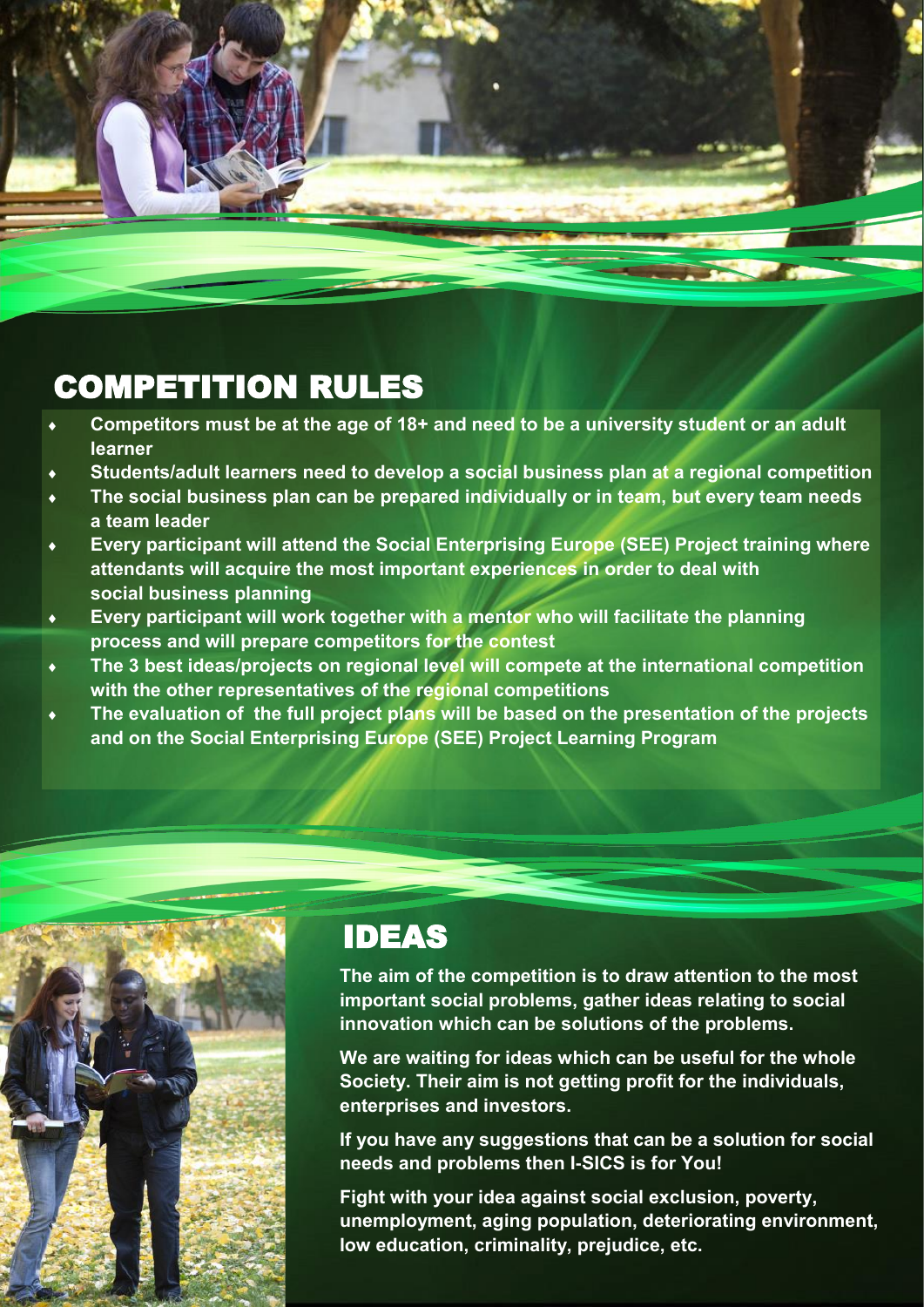## COMPETITION RULES

- **Competitors must be at the age of 18+ and need to be a university student or an adult learner**
- **Students/adult learners need to develop a social business plan at a regional competition**
- **The social business plan can be prepared individually or in team, but every team needs a team leader**
- **Every participant will attend the Social Enterprising Europe (SEE) Project training where attendants will acquire the most important experiences in order to deal with social business planning**
- **Every participant will work together with a mentor who will facilitate the planning process and will prepare competitors for the contest**
- **The 3 best ideas/projects on regional level will compete at the international competition with the other representatives of the regional competitions**
- **The evaluation of the full project plans will be based on the presentation of the projects and on the Social Enterprising Europe (SEE) Project Learning Program**



### IDEAS

**The aim of the competition is to draw attention to the most important social problems, gather ideas relating to social innovation which can be solutions of the problems.**

**We are waiting for ideas which can be useful for the whole Society. Their aim is not getting profit for the individuals, enterprises and investors.**

**If you have any suggestions that can be a solution for social needs and problems then I-SICS is for You!** 

**Fight with your idea against social exclusion, poverty, unemployment, aging population, deteriorating environment, low education, criminality, prejudice, etc.**